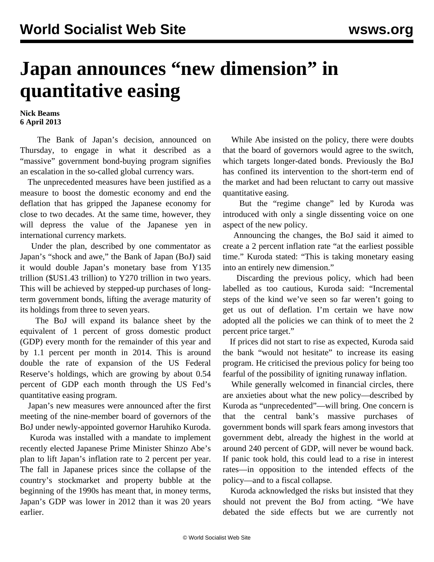## **Japan announces "new dimension" in quantitative easing**

## **Nick Beams 6 April 2013**

 The Bank of Japan's decision, announced on Thursday, to engage in what it described as a "massive" government bond-buying program signifies an escalation in the so-called global currency wars.

 The unprecedented measures have been justified as a measure to boost the domestic economy and end the deflation that has gripped the Japanese economy for close to two decades. At the same time, however, they will depress the value of the Japanese yen in international currency markets.

 Under the plan, described by one commentator as Japan's "shock and awe," the Bank of Japan (BoJ) said it would double Japan's monetary base from Y135 trillion (\$US1.43 trillion) to Y270 trillion in two years. This will be achieved by stepped-up purchases of longterm government bonds, lifting the average maturity of its holdings from three to seven years.

 The BoJ will expand its balance sheet by the equivalent of 1 percent of gross domestic product (GDP) every month for the remainder of this year and by 1.1 percent per month in 2014. This is around double the rate of expansion of the US Federal Reserve's holdings, which are growing by about 0.54 percent of GDP each month through the US Fed's quantitative easing program.

 Japan's new measures were announced after the first meeting of the nine-member board of governors of the BoJ under newly-appointed governor Haruhiko Kuroda.

 Kuroda was installed with a mandate to implement recently elected Japanese Prime Minister Shinzo Abe's plan to lift Japan's inflation rate to 2 percent per year. The fall in Japanese prices since the collapse of the country's stockmarket and property bubble at the beginning of the 1990s has meant that, in money terms, Japan's GDP was lower in 2012 than it was 20 years earlier.

 While Abe insisted on the policy, there were doubts that the board of governors would agree to the switch, which targets longer-dated bonds. Previously the BoJ has confined its intervention to the short-term end of the market and had been reluctant to carry out massive quantitative easing.

 But the "regime change" led by Kuroda was introduced with only a single dissenting voice on one aspect of the new policy.

 Announcing the changes, the BoJ said it aimed to create a 2 percent inflation rate "at the earliest possible time." Kuroda stated: "This is taking monetary easing into an entirely new dimension."

 Discarding the previous policy, which had been labelled as too cautious, Kuroda said: "Incremental steps of the kind we've seen so far weren't going to get us out of deflation. I'm certain we have now adopted all the policies we can think of to meet the 2 percent price target."

 If prices did not start to rise as expected, Kuroda said the bank "would not hesitate" to increase its easing program. He criticised the previous policy for being too fearful of the possibility of igniting runaway inflation.

 While generally welcomed in financial circles, there are anxieties about what the new policy—described by Kuroda as "unprecedented"—will bring. One concern is that the central bank's massive purchases of government bonds will spark fears among investors that government debt, already the highest in the world at around 240 percent of GDP, will never be wound back. If panic took hold, this could lead to a rise in interest rates—in opposition to the intended effects of the policy—and to a fiscal collapse.

 Kuroda acknowledged the risks but insisted that they should not prevent the BoJ from acting. "We have debated the side effects but we are currently not